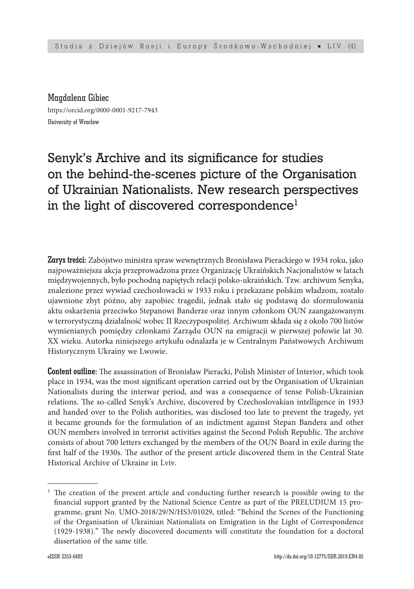Magdalena Gibiec https://orcid.org/0000-0001-9217-7943 University of Wrocław

# Senyk's Archive and its significance for studies on the behind-the-scenes picture of the Organisation of Ukrainian Nationalists. New research perspectives in the light of discovered correspondence<sup>1</sup>

Zarys treści: Zabójstwo ministra spraw wewnętrznych Bronisława Pierackiego w 1934 roku, jako najpoważniejsza akcja przeprowadzona przez Organizację Ukraińskich Nacjonalistów w latach międzywojennych, było pochodną napiętych relacji polsko-ukraińskich. Tzw. archiwum Senyka, znalezione przez wywiad czechosłowacki w 1933 roku i przekazane polskim władzom, zostało ujawnione zbyt późno, aby zapobiec tragedii, jednak stało się podstawą do sformułowania aktu oskarżenia przeciwko Stepanowi Banderze oraz innym członkom OUN zaangażowanym w terrorystyczną działalność wobec II Rzeczypospolitej. Archiwum składa się z około 700 listów wymienianych pomiędzy członkami Zarządu OUN na emigracji w pierwszej połowie lat 30. XX wieku. Autorka niniejszego artykułu odnalazła je w Centralnym Państwowych Archiwum Historycznym Ukrainy we Lwowie.

Content outline: The assassination of Bronisław Pieracki, Polish Minister of Interior, which took place in 1934, was the most significant operation carried out by the Organisation of Ukrainian Nationalists during the interwar period, and was a consequence of tense Polish-Ukrainian relations. The so-called Senyk's Archive, discovered by Czechoslovakian intelligence in 1933 and handed over to the Polish authorities, was disclosed too late to prevent the tragedy, yet it became grounds for the formulation of an indictment against Stepan Bandera and other OUN members involved in terrorist activities against the Second Polish Republic. The archive consists of about 700 letters exchanged by the members of the OUN Board in exile during the first half of the 1930s. The author of the present article discovered them in the Central State Historical Archive of Ukraine in Lviv.

 $1$  The creation of the present article and conducting further research is possible owing to the financial support granted by the National Science Centre as part of the PRELUDIUM 15 programme, grant No. UMO-2018/29/N/HS3/01029, titled: "Behind the Scenes of the Functioning of the Organisation of Ukrainian Nationalists on Emigration in the Light of Correspondence (1929-1938)." The newly discovered documents will constitute the foundation for a doctoral dissertation of the same title.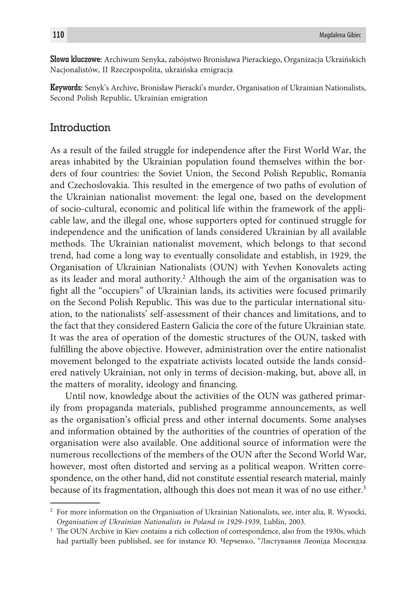Słowa kluczowe: Archiwum Senyka, zabójstwo Bronisława Pierackiego, Organizacja Ukraińskich Nacjonalistów, II Rzeczpospolita, ukraińska emigracja

Keywords: Senyk's Archive, Bronisław Pieracki's murder, Organisation of Ukrainian Nationalists, Second Polish Republic, Ukrainian emigration

#### **Introduction**

As a result of the failed struggle for independence after the First World War, the areas inhabited by the Ukrainian population found themselves within the borders of four countries: the Soviet Union, the Second Polish Republic, Romania and Czechoslovakia. This resulted in the emergence of two paths of evolution of the Ukrainian nationalist movement: the legal one, based on the development of socio-cultural, economic and political life within the framework of the applicable law, and the illegal one, whose supporters opted for continued struggle for independence and the unification of lands considered Ukrainian by all available methods. The Ukrainian nationalist movement, which belongs to that second trend, had come a long way to eventually consolidate and establish, in 1929, the Organisation of Ukrainian Nationalists (OUN) with Yevhen Konovalets acting as its leader and moral authority.<sup>2</sup> Although the aim of the organisation was to fight all the "occupiers" of Ukrainian lands, its activities were focused primarily on the Second Polish Republic. This was due to the particular international situation, to the nationalists' self-assessment of their chances and limitations, and to the fact that they considered Eastern Galicia the core of the future Ukrainian state. It was the area of operation of the domestic structures of the OUN, tasked with fulfilling the above objective. However, administration over the entire nationalist movement belonged to the expatriate activists located outside the lands considered natively Ukrainian, not only in terms of decision-making, but, above all, in the matters of morality, ideology and financing.

Until now, knowledge about the activities of the OUN was gathered primarily from propaganda materials, published programme announcements, as well as the organisation's official press and other internal documents. Some analyses and information obtained by the authorities of the countries of operation of the organisation were also available. One additional source of information were the numerous recollections of the members of the OUN after the Second World War, however, most often distorted and serving as a political weapon. Written correspondence, on the other hand, did not constitute essential research material, mainly because of its fragmentation, although this does not mean it was of no use either.<sup>3</sup>

<sup>2</sup> For more information on the Organisation of Ukrainian Nationalists, see, inter alia, R. Wysocki, *Organisation of Ukrainian Nationalists in Poland in 1929-1939*, Lublin, 2003.

<sup>&</sup>lt;sup>3</sup> The OUN Archive in Kiev contains a rich collection of correspondence, also from the 1930s, which had partially been published, see for instance Ю. Черченкo, "Листування Леоніда Мосендза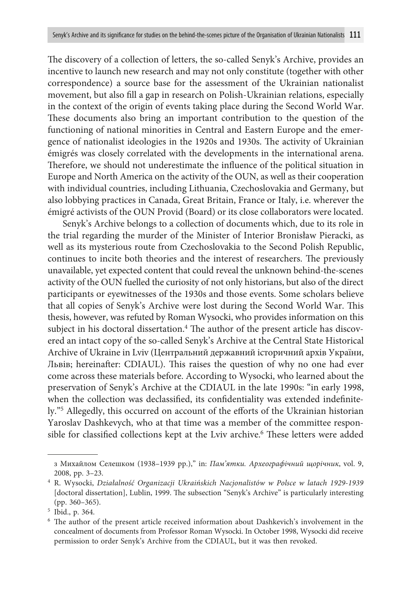The discovery of a collection of letters, the so-called Senyk's Archive, provides an incentive to launch new research and may not only constitute (together with other correspondence) a source base for the assessment of the Ukrainian nationalist movement, but also fill a gap in research on Polish-Ukrainian relations, especially in the context of the origin of events taking place during the Second World War. These documents also bring an important contribution to the question of the functioning of national minorities in Central and Eastern Europe and the emergence of nationalist ideologies in the 1920s and 1930s. The activity of Ukrainian émigrés was closely correlated with the developments in the international arena. Therefore, we should not underestimate the influence of the political situation in Europe and North America on the activity of the OUN, as well as their cooperation with individual countries, including Lithuania, Czechoslovakia and Germany, but also lobbying practices in Canada, Great Britain, France or Italy, i.e. wherever the émigré activists of the OUN Provid (Board) or its close collaborators were located.

Senyk's Archive belongs to a collection of documents which, due to its role in the trial regarding the murder of the Minister of Interior Bronisław Pieracki, as well as its mysterious route from Czechoslovakia to the Second Polish Republic, continues to incite both theories and the interest of researchers. The previously unavailable, yet expected content that could reveal the unknown behind-the-scenes activity of the OUN fuelled the curiosity of not only historians, but also of the direct participants or eyewitnesses of the 1930s and those events. Some scholars believe that all copies of Senyk's Archive were lost during the Second World War. This thesis, however, was refuted by Roman Wysocki, who provides information on this subject in his doctoral dissertation.<sup>4</sup> The author of the present article has discovered an intact copy of the so-called Senyk's Archive at the Central State Historical Archive of Ukraine in Lviv (Центральний державний історичний архів України, Львів; hereinafter: CDIAUL). This raises the question of why no one had ever come across these materials before. According to Wysocki, who learned about the preservation of Senyk's Archive at the CDIAUL in the late 1990s: "in early 1998, when the collection was declassified, its confidentiality was extended indefinitely."5 Allegedly, this occurred on account of the efforts of the Ukrainian historian Yaroslav Dashkevych, who at that time was a member of the committee responsible for classified collections kept at the Lviv archive.<sup>6</sup> These letters were added

з Михайлом Селешком (1938–1939 рр.)," in: *Пам'ятки. Археографічний щорічник*, vol. 9, 2008, pp. 3–23.

<sup>4</sup> R. Wysocki, *Działalność Organizacji Ukraińskich Nacjonalistów w Polsce w latach 1929-1939* [doctoral dissertation], Lublin, 1999. The subsection "Senyk's Archive" is particularly interesting (pp. 360–365).

<sup>5</sup> Ibid., p. 364.

<sup>6</sup> The author of the present article received information about Dashkevich's involvement in the concealment of documents from Professor Roman Wysocki. In October 1998, Wysocki did receive permission to order Senyk's Archive from the CDIAUL, but it was then revoked.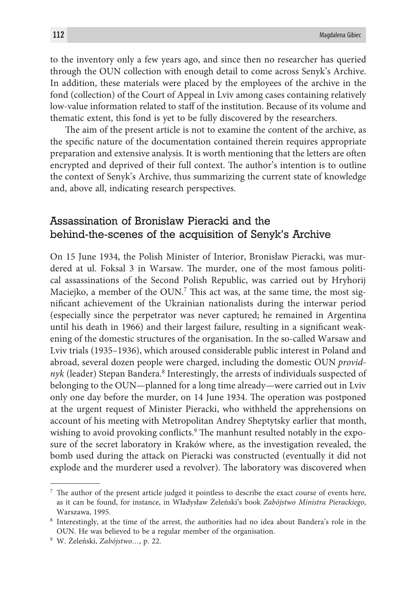to the inventory only a few years ago, and since then no researcher has queried through the OUN collection with enough detail to come across Senyk's Archive. In addition, these materials were placed by the employees of the archive in the fond (collection) of the Court of Appeal in Lviv among cases containing relatively low-value information related to staff of the institution. Because of its volume and thematic extent, this fond is yet to be fully discovered by the researchers.

The aim of the present article is not to examine the content of the archive, as the specific nature of the documentation contained therein requires appropriate preparation and extensive analysis. It is worth mentioning that the letters are often encrypted and deprived of their full context. The author's intention is to outline the context of Senyk's Archive, thus summarizing the current state of knowledge and, above all, indicating research perspectives.

### Assassination of Bronisław Pieracki and the behind-the-scenes of the acquisition of Senyk's Archive

On 15 June 1934, the Polish Minister of Interior, Bronisław Pieracki, was murdered at ul. Foksal 3 in Warsaw. The murder, one of the most famous political assassinations of the Second Polish Republic, was carried out by Hryhorij Maciejko, a member of the OUN.<sup>7</sup> This act was, at the same time, the most significant achievement of the Ukrainian nationalists during the interwar period (especially since the perpetrator was never captured; he remained in Argentina until his death in 1966) and their largest failure, resulting in a significant weakening of the domestic structures of the organisation. In the so-called Warsaw and Lviv trials (1935–1936), which aroused considerable public interest in Poland and abroad, several dozen people were charged, including the domestic OUN *provid*nyk (leader) Stepan Bandera.<sup>8</sup> Interestingly, the arrests of individuals suspected of belonging to the OUN—planned for a long time already—were carried out in Lviv only one day before the murder, on 14 June 1934. The operation was postponed at the urgent request of Minister Pieracki, who withheld the apprehensions on account of his meeting with Metropolitan Andrey Sheptytsky earlier that month, wishing to avoid provoking conflicts.9 The manhunt resulted notably in the exposure of the secret laboratory in Kraków where, as the investigation revealed, the bomb used during the attack on Pieracki was constructed (eventually it did not explode and the murderer used a revolver). The laboratory was discovered when

 $7$  The author of the present article judged it pointless to describe the exact course of events here, as it can be found, for instance, in Władysław Żeleński's book *Zabójstwo Ministra Pierackiego*, Warszawa, 1995.

<sup>8</sup> Interestingly, at the time of the arrest, the authorities had no idea about Bandera's role in the OUN. He was believed to be a regular member of the organisation.

<sup>9</sup> W. Żeleński, *Zabójstwo…*, p. 22.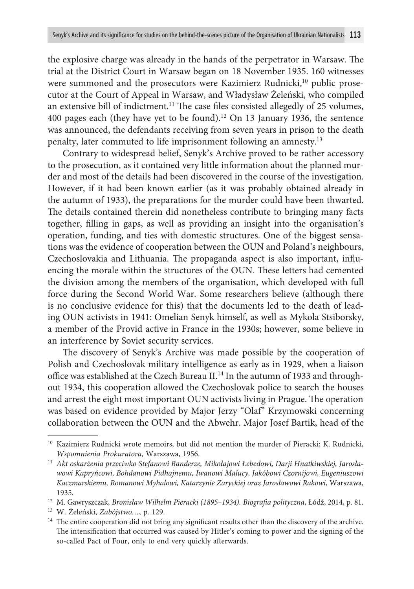the explosive charge was already in the hands of the perpetrator in Warsaw. The trial at the District Court in Warsaw began on 18 November 1935. 160 witnesses were summoned and the prosecutors were Kazimierz Rudnicki,<sup>10</sup> public prosecutor at the Court of Appeal in Warsaw, and Władysław Żeleński, who compiled an extensive bill of indictment.11 The case files consisted allegedly of 25 volumes, 400 pages each (they have yet to be found).<sup>12</sup> On 13 January 1936, the sentence was announced, the defendants receiving from seven years in prison to the death penalty, later commuted to life imprisonment following an amnesty.13

Contrary to widespread belief, Senyk's Archive proved to be rather accessory to the prosecution, as it contained very little information about the planned murder and most of the details had been discovered in the course of the investigation. However, if it had been known earlier (as it was probably obtained already in the autumn of 1933), the preparations for the murder could have been thwarted. The details contained therein did nonetheless contribute to bringing many facts together, filling in gaps, as well as providing an insight into the organisation's operation, funding, and ties with domestic structures. One of the biggest sensations was the evidence of cooperation between the OUN and Poland's neighbours, Czechoslovakia and Lithuania. The propaganda aspect is also important, influencing the morale within the structures of the OUN. These letters had cemented the division among the members of the organisation, which developed with full force during the Second World War. Some researchers believe (although there is no conclusive evidence for this) that the documents led to the death of leading OUN activists in 1941: Omelian Senyk himself, as well as Mykola Stsiborsky, a member of the Provid active in France in the 1930s; however, some believe in an interference by Soviet security services.

The discovery of Senyk's Archive was made possible by the cooperation of Polish and Czechoslovak military intelligence as early as in 1929, when a liaison office was established at the Czech Bureau II.14 In the autumn of 1933 and throughout 1934, this cooperation allowed the Czechoslovak police to search the houses and arrest the eight most important OUN activists living in Prague. The operation was based on evidence provided by Major Jerzy "Olaf" Krzymowski concerning collaboration between the OUN and the Abwehr. Major Josef Bartik, head of the

<sup>&</sup>lt;sup>10</sup> Kazimierz Rudnicki wrote memoirs, but did not mention the murder of Pieracki; K. Rudnicki, *Wspomnienia Prokuratora*, Warszawa, 1956.

<sup>11</sup> *Akt oskarżenia przeciwko Stefanowi Banderze, Mikołajowi Łebedowi, Darji Hnatkiwskiej, Jarosławowi Kapryńcowi, Bohdanowi Pidhajnemu, Iwanowi Malucy, Jakóbowi Czornijowi, Eugeniuszowi Kaczmarskiemu, Romanowi Myhalowi, Katarzynie Zaryckiej oraz Jarosławowi Rakowi*, Warszawa, 1935.

<sup>12</sup> M. Gawryszczak, *Bronisław Wilhelm Pieracki (1895–1934). Biografia polityczna*, Łódź, 2014, p. 81.

<sup>13</sup> W. Żeleński, *Zabójstwo…*, p. 129.

<sup>&</sup>lt;sup>14</sup> The entire cooperation did not bring any significant results other than the discovery of the archive. The intensification that occurred was caused by Hitler's coming to power and the signing of the so-called Pact of Four, only to end very quickly afterwards.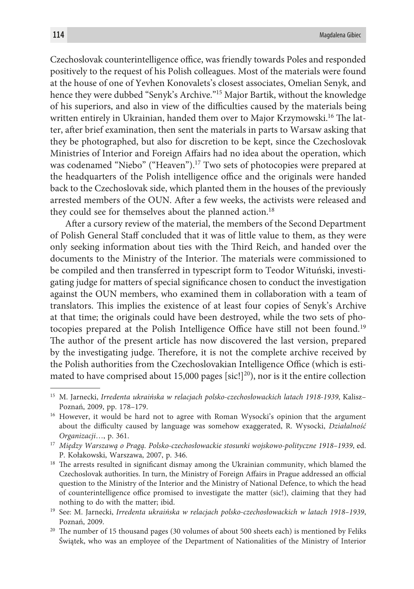Czechoslovak counterintelligence office, was friendly towards Poles and responded positively to the request of his Polish colleagues. Most of the materials were found at the house of one of Yevhen Konovalets's closest associates, Omelian Senyk, and hence they were dubbed "Senyk's Archive."15 Major Bartik, without the knowledge of his superiors, and also in view of the difficulties caused by the materials being written entirely in Ukrainian, handed them over to Major Krzymowski.<sup>16</sup> The latter, after brief examination, then sent the materials in parts to Warsaw asking that they be photographed, but also for discretion to be kept, since the Czechoslovak Ministries of Interior and Foreign Affairs had no idea about the operation, which was codenamed "Niebo" ("Heaven").<sup>17</sup> Two sets of photocopies were prepared at the headquarters of the Polish intelligence office and the originals were handed back to the Czechoslovak side, which planted them in the houses of the previously arrested members of the OUN. After a few weeks, the activists were released and they could see for themselves about the planned action.<sup>18</sup>

After a cursory review of the material, the members of the Second Department of Polish General Staff concluded that it was of little value to them, as they were only seeking information about ties with the Third Reich, and handed over the documents to the Ministry of the Interior. The materials were commissioned to be compiled and then transferred in typescript form to Teodor Wituński, investigating judge for matters of special significance chosen to conduct the investigation against the OUN members, who examined them in collaboration with a team of translators. This implies the existence of at least four copies of Senyk's Archive at that time; the originals could have been destroyed, while the two sets of photocopies prepared at the Polish Intelligence Office have still not been found.<sup>19</sup> The author of the present article has now discovered the last version, prepared by the investigating judge. Therefore, it is not the complete archive received by the Polish authorities from the Czechoslovakian Intelligence Office (which is estimated to have comprised about 15,000 pages [sic!]<sup>20</sup>), nor is it the entire collection

<sup>15</sup> M. Jarnecki, *Irredenta ukraińska w relacjach polsko-czechosłowackich latach 1918-1939*, Kalisz– Poznań, 2009, pp. 178–179.

<sup>&</sup>lt;sup>16</sup> However, it would be hard not to agree with Roman Wysocki's opinion that the argument about the difficulty caused by language was somehow exaggerated, R. Wysocki, *Działalność Organizacji*…, p. 361.

<sup>17</sup> *Między Warszawą o Pragą. Polsko-czechosłowackie stosunki wojskowo-polityczne 1918–1939*, ed. P. Kołakowski, Warszawa, 2007, p. 346.

<sup>&</sup>lt;sup>18</sup> The arrests resulted in significant dismay among the Ukrainian community, which blamed the Czechoslovak authorities. In turn, the Ministry of Foreign Affairs in Prague addressed an official question to the Ministry of the Interior and the Ministry of National Defence, to which the head of counterintelligence office promised to investigate the matter (sic!), claiming that they had nothing to do with the matter; ibid. 19 See: M. Jarnecki, *Irredenta ukraińska w relacjach polsko-czechosłowackich w latach 1918–1939*,

Poznań, 2009.

<sup>&</sup>lt;sup>20</sup> The number of 15 thousand pages (30 volumes of about 500 sheets each) is mentioned by Feliks Świątek, who was an employee of the Department of Nationalities of the Ministry of Interior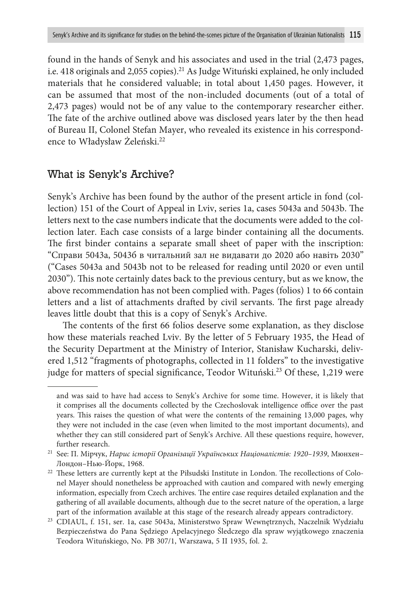found in the hands of Senyk and his associates and used in the trial (2,473 pages, i.e. 418 originals and 2,055 copies).21 As Judge Wituński explained, he only included materials that he considered valuable; in total about 1,450 pages. However, it can be assumed that most of the non-included documents (out of a total of 2,473 pages) would not be of any value to the contemporary researcher either. The fate of the archive outlined above was disclosed years later by the then head of Bureau II, Colonel Stefan Mayer, who revealed its existence in his correspondence to Władysław Żeleński.22

## What is Senyk's Archive?

Senyk's Archive has been found by the author of the present article in fond (collection) 151 of the Court of Appeal in Lviv, series 1a, cases 5043a and 5043b. The letters next to the case numbers indicate that the documents were added to the collection later. Each case consists of a large binder containing all the documents. The first binder contains a separate small sheet of paper with the inscription: "Справи 5043а, 5043б в читальний зал не видавати до 2020 або навіть 2030" ("Cases 5043a and 5043b not to be released for reading until 2020 or even until 2030"). This note certainly dates back to the previous century, but as we know, the above recommendation has not been complied with. Pages (folios) 1 to 66 contain letters and a list of attachments drafted by civil servants. The first page already leaves little doubt that this is a copy of Senyk's Archive.

The contents of the first 66 folios deserve some explanation, as they disclose how these materials reached Lviv. By the letter of 5 February 1935, the Head of the Security Department at the Ministry of Interior, Stanisław Kucharski, delivered 1,512 "fragments of photographs, collected in 11 folders" to the investigative judge for matters of special significance, Teodor Wituński.<sup>23</sup> Of these, 1,219 were

and was said to have had access to Senyk's Archive for some time. However, it is likely that it comprises all the documents collected by the Czechoslovak intelligence office over the past years. This raises the question of what were the contents of the remaining 13,000 pages, why they were not included in the case (even when limited to the most important documents), and whether they can still considered part of Senyk's Archive. All these questions require, however, further research.

<sup>21</sup> See: П. Мірчук, *Нарис історії Організації Українських Націоналістів: 1920–1939*, Мюнхен– Лондон–Нью-Йорк, 1968.

<sup>&</sup>lt;sup>22</sup> These letters are currently kept at the Piłsudski Institute in London. The recollections of Colonel Mayer should nonetheless be approached with caution and compared with newly emerging information, especially from Czech archives. The entire case requires detailed explanation and the gathering of all available documents, although due to the secret nature of the operation, a large part of the information available at this stage of the research already appears contradictory.

<sup>23</sup> CDIAUL, f. 151, ser. 1a, case 5043a, Ministerstwo Spraw Wewnętrznych, Naczelnik Wydziału Bezpieczeństwa do Pana Sędziego Apelacyjnego Śledczego dla spraw wyjątkowego znaczenia Teodora Wituńskiego, No. PB 307/1, Warszawa, 5 II 1935, fol. 2.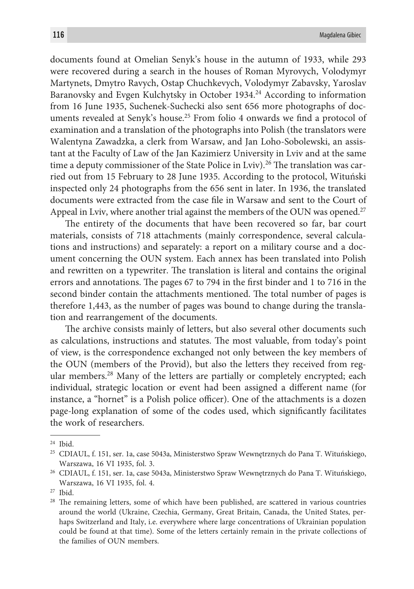documents found at Omelian Senyk's house in the autumn of 1933, while 293 were recovered during a search in the houses of Roman Myrovych, Volodymyr Martynets, Dmytro Ravych, Ostap Chuchkevych, Volodymyr Zabavsky, Yaroslav Baranovsky and Evgen Kulchytsky in October 1934.24 According to information from 16 June 1935, Suchenek-Suchecki also sent 656 more photographs of documents revealed at Senyk's house.<sup>25</sup> From folio 4 onwards we find a protocol of examination and a translation of the photographs into Polish (the translators were Walentyna Zawadzka, a clerk from Warsaw, and Jan Loho-Sobolewski, an assistant at the Faculty of Law of the Jan Kazimierz University in Lviv and at the same time a deputy commissioner of the State Police in Lviv).<sup>26</sup> The translation was carried out from 15 February to 28 June 1935. According to the protocol, Wituński inspected only 24 photographs from the 656 sent in later. In 1936, the translated documents were extracted from the case file in Warsaw and sent to the Court of Appeal in Lviv, where another trial against the members of the OUN was opened.<sup>27</sup>

The entirety of the documents that have been recovered so far, bar court materials, consists of 718 attachments (mainly correspondence, several calculations and instructions) and separately: a report on a military course and a document concerning the OUN system. Each annex has been translated into Polish and rewritten on a typewriter. The translation is literal and contains the original errors and annotations. The pages 67 to 794 in the first binder and 1 to 716 in the second binder contain the attachments mentioned. The total number of pages is therefore 1,443, as the number of pages was bound to change during the translation and rearrangement of the documents.

The archive consists mainly of letters, but also several other documents such as calculations, instructions and statutes. The most valuable, from today's point of view, is the correspondence exchanged not only between the key members of the OUN (members of the Provid), but also the letters they received from regular members.28 Many of the letters are partially or completely encrypted; each individual, strategic location or event had been assigned a different name (for instance, a "hornet" is a Polish police officer). One of the attachments is a dozen page-long explanation of some of the codes used, which significantly facilitates the work of researchers.

<sup>24</sup> Ibid.

<sup>25</sup> CDIAUL, f. 151, ser. 1a, case 5043a, Ministerstwo Spraw Wewnętrznych do Pana T. Wituńskiego, Warszawa, 16 VI 1935, fol. 3.

<sup>26</sup> CDIAUL, f. 151, ser. 1a, case 5043a, Ministerstwo Spraw Wewnętrznych do Pana T. Wituńskiego, Warszawa, 16 VI 1935, fol. 4.

<sup>27</sup> Ibid.

<sup>&</sup>lt;sup>28</sup> The remaining letters, some of which have been published, are scattered in various countries around the world (Ukraine, Czechia, Germany, Great Britain, Canada, the United States, perhaps Switzerland and Italy, i.e. everywhere where large concentrations of Ukrainian population could be found at that time). Some of the letters certainly remain in the private collections of the families of OUN members.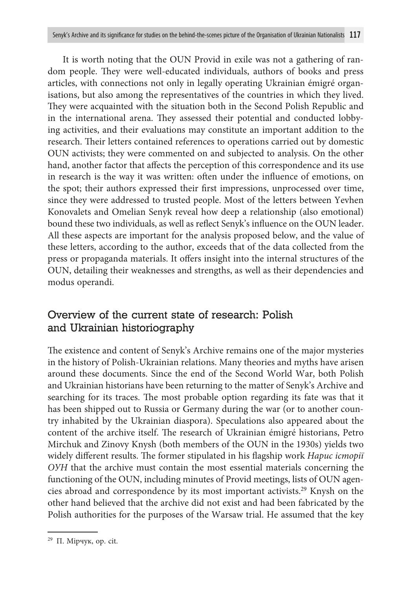It is worth noting that the OUN Provid in exile was not a gathering of random people. They were well-educated individuals, authors of books and press articles, with connections not only in legally operating Ukrainian émigré organisations, but also among the representatives of the countries in which they lived. They were acquainted with the situation both in the Second Polish Republic and in the international arena. They assessed their potential and conducted lobbying activities, and their evaluations may constitute an important addition to the research. Their letters contained references to operations carried out by domestic OUN activists; they were commented on and subjected to analysis. On the other hand, another factor that affects the perception of this correspondence and its use in research is the way it was written: often under the influence of emotions, on the spot; their authors expressed their first impressions, unprocessed over time, since they were addressed to trusted people. Most of the letters between Yevhen Konovalets and Omelian Senyk reveal how deep a relationship (also emotional) bound these two individuals, as well as reflect Senyk's influence on the OUN leader. All these aspects are important for the analysis proposed below, and the value of these letters, according to the author, exceeds that of the data collected from the press or propaganda materials. It offers insight into the internal structures of the OUN, detailing their weaknesses and strengths, as well as their dependencies and modus operandi.

# Overview of the current state of research: Polish and Ukrainian historiography

The existence and content of Senyk's Archive remains one of the major mysteries in the history of Polish-Ukrainian relations. Many theories and myths have arisen around these documents. Since the end of the Second World War, both Polish and Ukrainian historians have been returning to the matter of Senyk's Archive and searching for its traces. The most probable option regarding its fate was that it has been shipped out to Russia or Germany during the war (or to another country inhabited by the Ukrainian diaspora). Speculations also appeared about the content of the archive itself. The research of Ukrainian émigré historians, Petro Mirchuk and Zinovy Knysh (both members of the OUN in the 1930s) yields two widely different results. The former stipulated in his flagship work *Нарис історії ОУН* that the archive must contain the most essential materials concerning the functioning of the OUN, including minutes of Provid meetings, lists of OUN agencies abroad and correspondence by its most important activists.29 Knysh on the other hand believed that the archive did not exist and had been fabricated by the Polish authorities for the purposes of the Warsaw trial. He assumed that the key

<sup>29</sup> П. Мірчук, op. cit.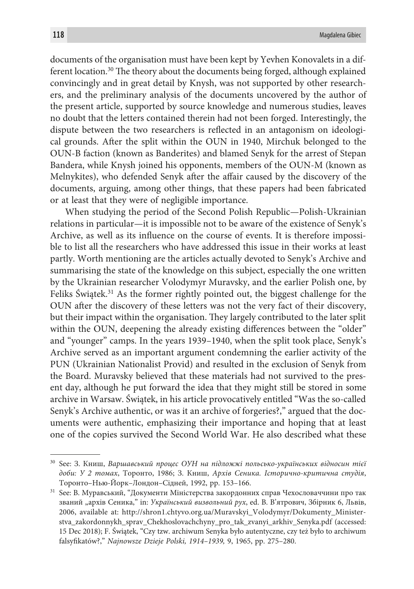documents of the organisation must have been kept by Yevhen Konovalets in a different location.30 The theory about the documents being forged, although explained convincingly and in great detail by Knysh, was not supported by other researchers, and the preliminary analysis of the documents uncovered by the author of the present article, supported by source knowledge and numerous studies, leaves no doubt that the letters contained therein had not been forged. Interestingly, the dispute between the two researchers is reflected in an antagonism on ideological grounds. After the split within the OUN in 1940, Mirchuk belonged to the OUN-B faction (known as Banderites) and blamed Senyk for the arrest of Stepan Bandera, while Knysh joined his opponents, members of the OUN-M (known as Melnykites), who defended Senyk after the affair caused by the discovery of the documents, arguing, among other things, that these papers had been fabricated or at least that they were of negligible importance.

When studying the period of the Second Polish Republic—Polish-Ukrainian relations in particular—it is impossible not to be aware of the existence of Senyk's Archive, as well as its influence on the course of events. It is therefore impossible to list all the researchers who have addressed this issue in their works at least partly. Worth mentioning are the articles actually devoted to Senyk's Archive and summarising the state of the knowledge on this subject, especially the one written by the Ukrainian researcher Volodymyr Muravsky, and the earlier Polish one, by Feliks Świątek.<sup>31</sup> As the former rightly pointed out, the biggest challenge for the OUN after the discovery of these letters was not the very fact of their discovery, but their impact within the organisation. They largely contributed to the later split within the OUN, deepening the already existing differences between the "older" and "younger" camps. In the years 1939–1940, when the split took place, Senyk's Archive served as an important argument condemning the earlier activity of the PUN (Ukrainian Nationalist Provid) and resulted in the exclusion of Senyk from the Board. Muravsky believed that these materials had not survived to the present day, although he put forward the idea that they might still be stored in some archive in Warsaw. Świątek, in his article provocatively entitled "Was the so-called Senyk's Archive authentic, or was it an archive of forgeries?," argued that the documents were authentic, emphasizing their importance and hoping that at least one of the copies survived the Second World War. He also described what these

<sup>30</sup> See: З. Книш, *Варшавський процес ОУН на підложжі польсько-українських відносин тієї доби: У 2 томах*, Торонто, 1986; З. Книш, *Архів Сеника. Історично-критична студія*, Торонто–Нью-Йорк–Лондон–Сідней, 1992, pp. 153–166.

 $31$  See: В. Муравський, "Документи Міністерства закордонних справ Чехословаччини про так званий "архів Сеника," in: *Український визвольний рух*, ed. В. В'ятрович, Збірник 6, Львів, 2006, available at: http://shron1.chtyvo.org.ua/Muravskyi\_Volodymyr/Dokumenty\_Ministerstva\_zakordonnykh\_sprav\_Chekhoslovachchyny\_pro\_tak\_zvanyi\_arkhiv\_Senyka.pdf (accessed: 15 Dec 2018); F. Świątek, "Czy tzw. archiwum Senyka było autentyczne, czy też było to archiwum falsyfikatów?," *Najnowsze Dzieje Polski, 1914–1939,* 9, 1965, pp. 275–280.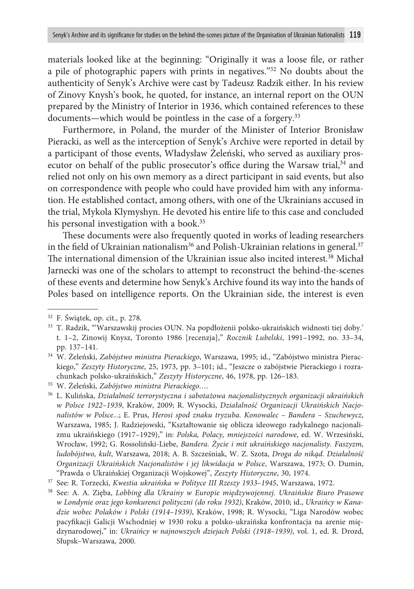materials looked like at the beginning: "Originally it was a loose file, or rather a pile of photographic papers with prints in negatives."32 No doubts about the authenticity of Senyk's Archive were cast by Tadeusz Radzik either. In his review of Zinovy Knysh's book, he quoted, for instance, an internal report on the OUN prepared by the Ministry of Interior in 1936, which contained references to these documents—which would be pointless in the case of a forgery.<sup>33</sup>

Furthermore, in Poland, the murder of the Minister of Interior Bronisław Pieracki, as well as the interception of Senyk's Archive were reported in detail by a participant of those events, Władysław Żeleński, who served as auxiliary prosecutor on behalf of the public prosecutor's office during the Warsaw trial,<sup>34</sup> and relied not only on his own memory as a direct participant in said events, but also on correspondence with people who could have provided him with any information. He established contact, among others, with one of the Ukrainians accused in the trial, Mykola Klymyshyn. He devoted his entire life to this case and concluded his personal investigation with a book.<sup>35</sup>

These documents were also frequently quoted in works of leading researchers in the field of Ukrainian nationalism<sup>36</sup> and Polish-Ukrainian relations in general.<sup>37</sup> The international dimension of the Ukrainian issue also incited interest.38 Michał Jarnecki was one of the scholars to attempt to reconstruct the behind-the-scenes of these events and determine how Senyk's Archive found its way into the hands of Poles based on intelligence reports. On the Ukrainian side, the interest is even

<sup>32</sup> F. Świątek, op. cit., p. 278.

<sup>33</sup> T. Radzik, "'Warszawskij procies OUN. Na popdłożenii polsko-ukraińskich widnosti tiej doby.' t. 1–2, Zinowij Knysz, Toronto 1986 [recenzja]," *Rocznik Lubelski*, 1991–1992, no. 33–34, pp. 137–141.

<sup>34</sup> W. Żeleński, *Zabójstwo ministra Pierackiego*, Warszawa, 1995; id., "Zabójstwo ministra Pierackiego," *Zeszyty Historyczne*, 25, 1973, pp. 3–101; id., "Jeszcze o zabójstwie Pierackiego i rozrachunkach polsko-ukraińskich," *Zeszyty Historyczne*, 46, 1978, pp. 126–183.

<sup>35</sup> W. Żeleński, *Zabójstwo ministra Pierackiego…*.

<sup>36</sup> L. Kulińska, *Działalność terrorystyczna i sabotażowa nacjonalistycznych organizacji ukraińskich w Polsce 1922–1939*, Kraków, 2009; R. Wysocki, *Działalność Organizacji Ukraińskich Nacjonalistów w Polsce..*.; E. Prus, *Herosi spod znaku tryzuba. Konowalec – Bandera – Szuchewycz*, Warszawa, 1985; J. Radziejowski, "Kształtowanie się oblicza ideowego radykalnego nacjonalizmu ukraińskiego (1917–1929)," in: *Polska, Polacy, mniejszości narodowe*, ed. W. Wrzesiński, Wrocław, 1992; G. Rossoliński-Liebe, *Bandera. Życie i mit ukraińskiego nacjonalisty. Faszyzm, ludobójstwo, kult*, Warszawa, 2018; A. B. Szcześniak, W. Z. Szota, *Droga do nikąd. Działalność Organizacji Ukraińskich Nacjonalistów i jej likwidacja w Polsce*, Warszawa, 1973; O. Dumin, "Prawda o Ukraińskiej Organizacji Wojskowej", *Zeszyty Historyczne*, 30, 1974.

<sup>37</sup> See: R. Torzecki, *Kwestia ukraińska w Polityce III Rzeszy 1933–1945*, Warszawa, 1972.

<sup>38</sup> See: A. A. Zięba, *Lobbing dla Ukrainy w Europie międzywojennej. Ukraińskie Biuro Prasowe w Londynie oraz jego konkurenci polityczni (do roku 1932)*, Kraków, 2010; id., *Ukraińcy w Kanadzie wobec Polaków i Polski (1914–1939)*, Kraków, 1998; R. Wysocki, "Liga Narodów wobec pacyfikacji Galicji Wschodniej w 1930 roku a polsko-ukraińska konfrontacja na arenie międzynarodowej," in: *Ukraińcy w najnowszych dziejach Polski (1918–1939)*, vol. 1, ed. R. Drozd, Słupsk–Warszawa, 2000.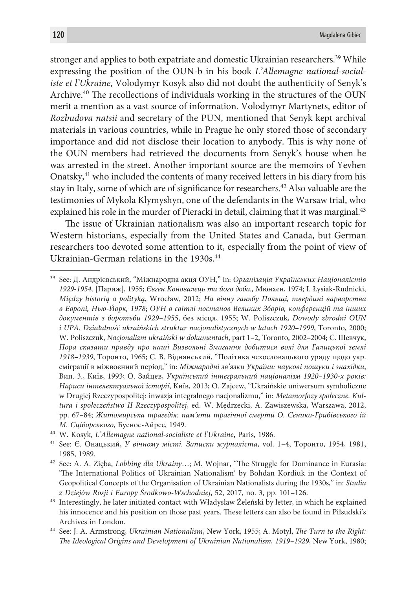stronger and applies to both expatriate and domestic Ukrainian researchers.<sup>39</sup> While expressing the position of the OUN-b in his book *L'Allemagne national-socialiste et l'Ukraine*, Volodymyr Kosyk also did not doubt the authenticity of Senyk's Archive.40 The recollections of individuals working in the structures of the OUN merit a mention as a vast source of information. Volodymyr Martynets, editor of *Rozbudova natsii* and secretary of the PUN, mentioned that Senyk kept archival materials in various countries, while in Prague he only stored those of secondary importance and did not disclose their location to anybody. This is why none of the OUN members had retrieved the documents from Senyk's house when he was arrested in the street. Another important source are the memoirs of Yevhen Onatsky,41 who included the contents of many received letters in his diary from his stay in Italy, some of which are of significance for researchers.42 Also valuable are the testimonies of Mykola Klymyshyn, one of the defendants in the Warsaw trial, who explained his role in the murder of Pieracki in detail, claiming that it was marginal.<sup>43</sup>

The issue of Ukrainian nationalism was also an important research topic for Western historians, especially from the United States and Canada, but German researchers too devoted some attention to it, especially from the point of view of Ukrainian-German relations in the 1930s.<sup>44</sup>

39 See: Д. Андрієвський, "Міжнародна aкця ОУН," in: *Організація Українських Націоналістів 1929-1954,* [Париж], 1955; *Євген Коновалець та його доба.,* Мюнхен, 1974; I. Łysiak-Rudnicki, *Między historią a polityką*, Wrocław, 2012; *На вічну ганьбу Польщі, твердині варварства в Европі, Нью-Йорк, 1978*; *ОУН в світлі постанов Великих Зборів, конференцій та інших документів з боротьби 1929–1955*, без місця, 1955; W. Poliszczuk, *Dowody zbrodni OUN i UPA. Działalność ukraińskich struktur nacjonalistycznych w latach 1920–1999*, Toronto, 2000; W. Poliszczuk, *Nacjonalizm ukraiński w dokumentach*, part 1–2, Toronto, 2002–2004; С. Шевчук, *Пора сказати правду про наші Визвольні Змагання добитися волі для Галицької землі 1918–1939*, Торонто, 1965; С. В. Віднянський, "Політика чехословацького уряду щодо укр. еміграції в міжвоєнний період," in: *Міжнародні зв'язки України: наукові пошуки і знахідки*, Вип. 3., Київ, 1993; O. Зайцев, *Український інтегральний націоналізм 1920–1930-х років: Нариси інтелектуальної історії*, Київ, 2013; O. Zajcew, "Ukraińskie uniwersum symboliczne w Drugiej Rzeczypospolitej: inwazja integralnego nacjonalizmu," in: *Metamorfozy społeczne. Kultura i społeczeństwo II Rzeczypospolitej*, ed. W. Mędrzecki, A. Zawiszewska, Warszawa, 2012, pp. 67–84; *Житомирська трагедія: пам'яти трагічної смерти О. Сеника-Грибівського ій М. Сціборського*, Буенос-Айрес, 1949.

<sup>40</sup> W. Kosyk, *L'Allemagne national-socialiste et l'Ukraine*, Paris, 1986.

<sup>41</sup> See: Є. Онацький, *У вічному місті. Записки журналіста*, vol. 1–4, Торонто, 1954, 1981, 1985, 1989.

<sup>42</sup> See: A. A. Zięba, *Lobbing dla Ukrainy*…; M. Wojnar, "The Struggle for Dominance in Eurasia: 'The International Politics of Ukrainian Nationalism' by Bohdan Kordiuk in the Context of Geopolitical Concepts of the Organisation of Ukrainian Nationalists during the 1930s," in: *Studia* 

*z Dziejów Rosji i Europy Środkowo-Wschodniej*, 52, 2017, no. 3, pp. 101–126. 43 Interestingly, he later initiated contact with Władysław Żeleński by letter, in which he explained his innocence and his position on those past years. These letters can also be found in Piłsudski's Archives in London.

<sup>44</sup> See: J. A. Armstrong, *Ukrainian Nationalism*, New York, 1955; A. Motyl, *The Turn to the Right: The Ideological Origins and Development of Ukrainian Nationalism, 1919–1929*, New York, 1980;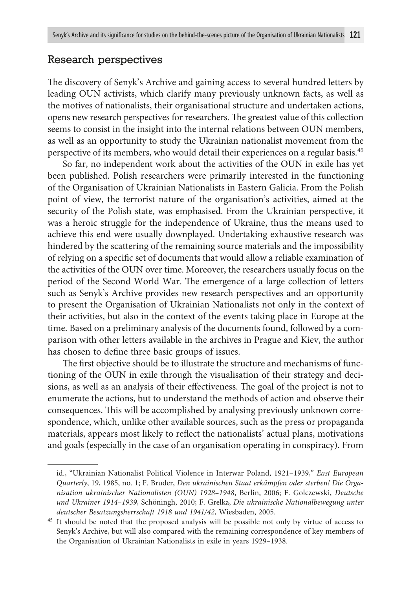#### Research perspectives

The discovery of Senyk's Archive and gaining access to several hundred letters by leading OUN activists, which clarify many previously unknown facts, as well as the motives of nationalists, their organisational structure and undertaken actions, opens new research perspectives for researchers. The greatest value of this collection seems to consist in the insight into the internal relations between OUN members, as well as an opportunity to study the Ukrainian nationalist movement from the perspective of its members, who would detail their experiences on a regular basis.45

So far, no independent work about the activities of the OUN in exile has yet been published. Polish researchers were primarily interested in the functioning of the Organisation of Ukrainian Nationalists in Eastern Galicia. From the Polish point of view, the terrorist nature of the organisation's activities, aimed at the security of the Polish state, was emphasised. From the Ukrainian perspective, it was a heroic struggle for the independence of Ukraine, thus the means used to achieve this end were usually downplayed. Undertaking exhaustive research was hindered by the scattering of the remaining source materials and the impossibility of relying on a specific set of documents that would allow a reliable examination of the activities of the OUN over time. Moreover, the researchers usually focus on the period of the Second World War. The emergence of a large collection of letters such as Senyk's Archive provides new research perspectives and an opportunity to present the Organisation of Ukrainian Nationalists not only in the context of their activities, but also in the context of the events taking place in Europe at the time. Based on a preliminary analysis of the documents found, followed by a comparison with other letters available in the archives in Prague and Kiev, the author has chosen to define three basic groups of issues.

The first objective should be to illustrate the structure and mechanisms of functioning of the OUN in exile through the visualisation of their strategy and decisions, as well as an analysis of their effectiveness. The goal of the project is not to enumerate the actions, but to understand the methods of action and observe their consequences. This will be accomplished by analysing previously unknown correspondence, which, unlike other available sources, such as the press or propaganda materials, appears most likely to reflect the nationalists' actual plans, motivations and goals (especially in the case of an organisation operating in conspiracy). From

id., "Ukrainian Nationalist Political Violence in Interwar Poland, 1921–1939," *East European Quarterly*, 19, 1985, no. 1; F. Bruder, *Den ukrainischen Staat erkämpfen oder sterben! Die Organisation ukrainischer Nationalisten (OUN) 1928–1948*, Berlin, 2006; F. Golczewski, *Deutsche und Ukrainer 1914–1939*, Schöningh, 2010; F. Grelka, *Die ukrainische Nationalbewegung unter deutscher Besatzungsherrschaft 1918 und 1941/42*, Wiesbaden, 2005.

<sup>&</sup>lt;sup>45</sup> It should be noted that the proposed analysis will be possible not only by virtue of access to Senyk's Archive, but will also compared with the remaining correspondence of key members of the Organisation of Ukrainian Nationalists in exile in years 1929–1938.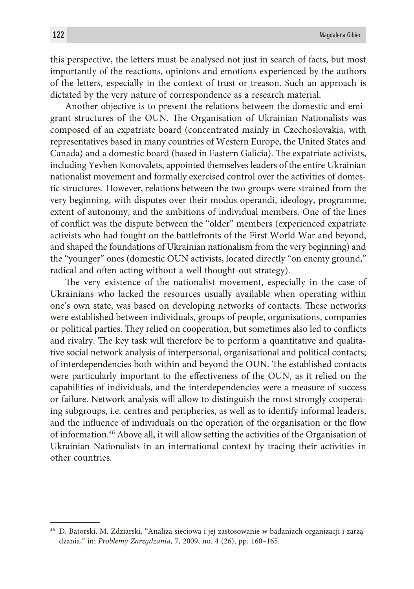this perspective, the letters must be analysed not just in search of facts, but most importantly of the reactions, opinions and emotions experienced by the authors of the letters, especially in the context of trust or treason. Such an approach is dictated by the very nature of correspondence as a research material.

Another objective is to present the relations between the domestic and emigrant structures of the OUN. The Organisation of Ukrainian Nationalists was composed of an expatriate board (concentrated mainly in Czechoslovakia, with representatives based in many countries of Western Europe, the United States and Canada) and a domestic board (based in Eastern Galicia). The expatriate activists, including Yevhen Konovalets, appointed themselves leaders of the entire Ukrainian nationalist movement and formally exercised control over the activities of domestic structures. However, relations between the two groups were strained from the very beginning, with disputes over their modus operandi, ideology, programme, extent of autonomy, and the ambitions of individual members. One of the lines of conflict was the dispute between the "older" members (experienced expatriate activists who had fought on the battlefronts of the First World War and beyond, and shaped the foundations of Ukrainian nationalism from the very beginning) and the "younger" ones (domestic OUN activists, located directly "on enemy ground," radical and often acting without a well thought-out strategy).

The very existence of the nationalist movement, especially in the case of Ukrainians who lacked the resources usually available when operating within one's own state, was based on developing networks of contacts. These networks were established between individuals, groups of people, organisations, companies or political parties. They relied on cooperation, but sometimes also led to conflicts and rivalry. The key task will therefore be to perform a quantitative and qualitative social network analysis of interpersonal, organisational and political contacts; of interdependencies both within and beyond the OUN. The established contacts were particularly important to the effectiveness of the OUN, as it relied on the capabilities of individuals, and the interdependencies were a measure of success or failure. Network analysis will allow to distinguish the most strongly cooperating subgroups, i.e. centres and peripheries, as well as to identify informal leaders, and the influence of individuals on the operation of the organisation or the flow of information.46 Above all, it will allow setting the activities of the Organisation of Ukrainian Nationalists in an international context by tracing their activities in other countries.

<sup>46</sup> D. Batorski, M. Zdziarski, "Analiza sieciowa i jej zastosowanie w badaniach organizacji i zarządzania," in: *Problemy Zarządzania*, 7, 2009, no. 4 (26), pp. 160–165.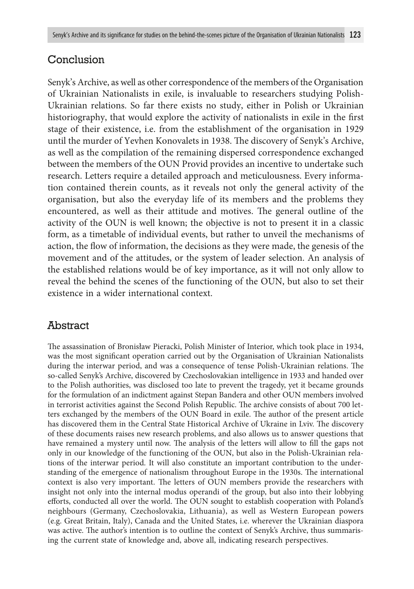# Conclusion

Senyk's Archive, as well as other correspondence of the members of the Organisation of Ukrainian Nationalists in exile, is invaluable to researchers studying Polish-Ukrainian relations. So far there exists no study, either in Polish or Ukrainian historiography, that would explore the activity of nationalists in exile in the first stage of their existence, i.e. from the establishment of the organisation in 1929 until the murder of Yevhen Konovalets in 1938. The discovery of Senyk's Archive, as well as the compilation of the remaining dispersed correspondence exchanged between the members of the OUN Provid provides an incentive to undertake such research. Letters require a detailed approach and meticulousness. Every information contained therein counts, as it reveals not only the general activity of the organisation, but also the everyday life of its members and the problems they encountered, as well as their attitude and motives. The general outline of the activity of the OUN is well known; the objective is not to present it in a classic form, as a timetable of individual events, but rather to unveil the mechanisms of action, the flow of information, the decisions as they were made, the genesis of the movement and of the attitudes, or the system of leader selection. An analysis of the established relations would be of key importance, as it will not only allow to reveal the behind the scenes of the functioning of the OUN, but also to set their existence in a wider international context.

# **Abstract**

The assassination of Bronisław Pieracki, Polish Minister of Interior, which took place in 1934, was the most significant operation carried out by the Organisation of Ukrainian Nationalists during the interwar period, and was a consequence of tense Polish-Ukrainian relations. The so-called Senyk's Archive, discovered by Czechoslovakian intelligence in 1933 and handed over to the Polish authorities, was disclosed too late to prevent the tragedy, yet it became grounds for the formulation of an indictment against Stepan Bandera and other OUN members involved in terrorist activities against the Second Polish Republic. The archive consists of about 700 letters exchanged by the members of the OUN Board in exile. The author of the present article has discovered them in the Central State Historical Archive of Ukraine in Lviv. The discovery of these documents raises new research problems, and also allows us to answer questions that have remained a mystery until now. The analysis of the letters will allow to fill the gaps not only in our knowledge of the functioning of the OUN, but also in the Polish-Ukrainian relations of the interwar period. It will also constitute an important contribution to the understanding of the emergence of nationalism throughout Europe in the 1930s. The international context is also very important. The letters of OUN members provide the researchers with insight not only into the internal modus operandi of the group, but also into their lobbying efforts, conducted all over the world. The OUN sought to establish cooperation with Poland's neighbours (Germany, Czechoslovakia, Lithuania), as well as Western European powers (e.g. Great Britain, Italy), Canada and the United States, i.e. wherever the Ukrainian diaspora was active. The author's intention is to outline the context of Senyk's Archive, thus summarising the current state of knowledge and, above all, indicating research perspectives.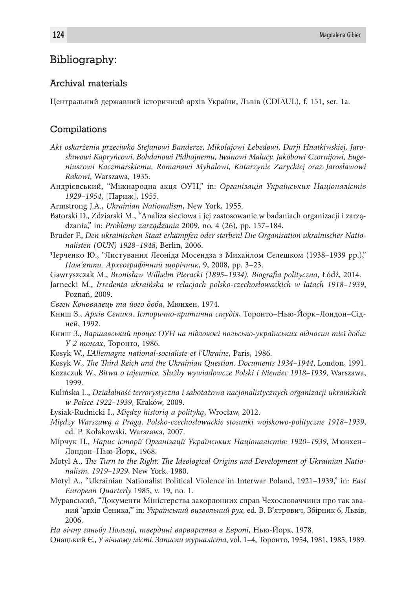### Bibliography:

#### Archival materials

Центральний державний історичний архів України, Львів (CDIAUL), f. 151, ser. 1a.

#### Compilations

- *Akt oskarżenia przeciwko Stefanowi Banderze, Mikołajowi Łebedowi, Darji Hnatkiwskiej, Jarosławowi Kapryńcowi, Bohdanowi Pidhajnemu, Iwanowi Malucy, Jakóbowi Czornijowi, Eugeniuszowi Kaczmarskiemu, Romanowi Myhalowi, Katarzynie Zaryckiej oraz Jarosławowi Rakowi*, Warszawa, 1935.
- Андрієвський, "Міжнародна aкця ОУН," in: *Організація Українських Націоналістів 1929–1954*, [Париж], 1955.
- Armstrong J.A., *Ukrainian Nationalism*, New York, 1955.
- Batorski D., Zdziarski M., *"*Analiza sieciowa i jej zastosowanie w badaniach organizacji i zarządzania," in: *Problemy zarządzania* 2009, no. 4 (26), pp. 157–184.
- Bruder F., *Den ukrainischen Staat erkämpfen oder sterben! Die Organisation ukrainischer Nationalisten (OUN) 1928–1948*, Berlin, 2006.
- Черченкo Ю., "Листування Леоніда Мосендза з Михайлом Селешком (1938–1939 рр.)," *Пам'ятки. Археографічний щорічник*, 9, 2008, pp. 3–23.
- Gawryszczak M., *Bronisław Wilhelm Pieracki (1895–1934). Biografia polityczna*, Łódź, 2014.
- Jarnecki M., *Irredenta ukraińska w relacjach polsko-czechosłowackich w latach 1918–1939*, Poznań, 2009.
- *Євген Коновалець та його доба*, Мюнхен, 1974.
- Книш З., *Архів Сеника. Історично-критична студія*, Торонто–Нью-Йорк–Лондон–Сідней, 1992.
- Книш З., *Варшавський процес ОУН на підложжі польсько-українських відносин тієї доби: У 2 томах*, Торонто, 1986.
- Kosyk W., *L'Allemagne national-socialiste et l'Ukraine*, Paris, 1986.
- Kosyk W., *The Third Reich and the Ukrainian Question. Documents 1934–1944*, London, 1991.
- Kozaczuk W., *Bitwa o tajemnice. Służby wywiadowcze Polski i Niemiec 1918–1939*, Warszawa, 1999.
- Kulińska L., *Działalność terrorystyczna i sabotażowa nacjonalistycznych organizacji ukraińskich w Polsce 1922–1939*, Kraków, 2009.
- Łysiak-Rudnicki I., *Między historią a polityką*, Wrocław, 2012.
- *Między Warszawą a Pragą. Polsko-czechosłowackie stosunki wojskowo-polityczne 1918–1939*, ed. P. Kołakowski, Warszawa, 2007.
- Мірчук П., *Нарис історії Організації Українських Націоналістів: 1920–1939*, Мюнхен– Лондон–Нью-Йорк, 1968.
- Motyl A., *The Turn to the Right: The Ideological Origins and Development of Ukrainian Nationalism, 1919–1929*, New York, 1980.
- Motyl A., "Ukrainian Nationalist Political Violence in Interwar Poland, 1921–1939," in: *East European Quarterly* 1985, v. 19, no. 1.
- Муравський, "Документи Міністерства закордонних справ Чехословаччини про так званий 'архів Сеника,'" in: *Український визвольний рух*, ed. В. В'ятрович, Збірник 6, Львів, 2006.
- *На вічну ганьбу Польщі, твердині варварства в Европі*, Нью-Йорк, 1978.
- Онацький Є., *У вічному місті. Записки журналіста*, vol. 1–4, Торонто, 1954, 1981, 1985, 1989.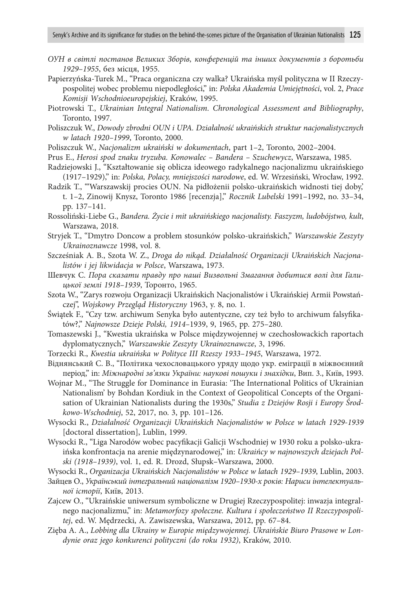- *ОУН в світлі постанов Великих Зборів, конференцій та інших документів з боротьби 1929–1955*, без місця, 1955.
- Papierzyńska-Turek M., "Praca organiczna czy walka? Ukraińska myśl polityczna w II Rzeczypospolitej wobec problemu niepodległości," in: *Polska Akademia Umiejętności*, vol. 2, *Prace Komisji Wschodnioeuropejskiej*, Kraków, 1995.
- Piotrowski T., *Ukrainian Integral Nationalism. Chronological Assessment and Bibliography*, Toronto, 1997.
- Poliszczuk W., *Dowody zbrodni OUN i UPA. Działalność ukraińskich struktur nacjonalistycznych w latach 1920–1999*, Toronto, 2000.
- Poliszczuk W., *Nacjonalizm ukraiński w dokumentach*, part 1–2, Toronto, 2002–2004.
- Prus E., *Herosi spod znaku tryzuba. Konowalec Bandera Szuchewycz*, Warszawa, 1985.
- Radziejowski J., "Kształtowanie się oblicza ideowego radykalnego nacjonalizmu ukraińskiego (1917–1929)," in: *Polska, Polacy, mniejszości narodowe*, ed. W. Wrzesiński, Wrocław, 1992.
- Radzik T., "'Warszawskij procies OUN. Na pidłożenii polsko-ukraińskich widnosti tiej doby,' t. 1–2, Zinowij Knysz, Toronto 1986 [recenzja]," *Rocznik Lubelski* 1991–1992, no. 33–34, pp. 137–141.

Rossoliński-Liebe G., *Bandera. Życie i mit ukraińskiego nacjonalisty. Faszyzm, ludobójstwo, kult*, Warszawa, 2018.

- Stryjek T., "Dmytro Doncow a problem stosunków polsko-ukraińskich," *Warszawskie Zeszyty Ukrainoznawcze* 1998, vol. 8.
- Szcześniak A. B., Szota W. Z., *Droga do nikąd. Działalność Organizacji Ukraińskich Nacjonalistów i jej likwidacja w Polsce*, Warszawa, 1973.
- Шевчук С. *Пора сказати правду про наші Визвольні Змагання добитися волі для Галицької землі 1918–1939*, Торонто, 1965.
- Szota W., "Zarys rozwoju Organizacji Ukraińskich Nacjonalistów i Ukraińskiej Armii Powstańczej", *Wojskowy Przegląd Historyczny* 1963, y. 8, no. 1.
- Świątek F., "Czy tzw. archiwum Senyka było autentyczne, czy też było to archiwum falsyfikatów?," *Najnowsze Dzieje Polski, 1914–*1939, 9, 1965, pp. 275–280.
- Tomaszewski J., "Kwestia ukraińska w Polsce międzywojennej w czechosłowackich raportach dyplomatycznych," *Warszawskie Zeszyty Ukrainoznawcze*, 3, 1996.
- Torzecki R., *Kwestia ukraińska w Polityce III Rzeszy 1933–1945*, Warszawa, 1972.
- Віднянський С. В., "Політика чехословацького уряду щодо укр. еміграції в міжвоєнний період," in: *Міжнародні зв'язки України: наукові пошуки і знахідки*, Вип. 3., Київ, 1993.
- Wojnar M., "The Struggle for Dominance in Eurasia: 'The International Politics of Ukrainian Nationalism' by Bohdan Kordiuk in the Context of Geopolitical Concepts of the Organisation of Ukrainian Nationalists during the 1930s," *Studia z Dziejów Rosji i Europy Środkowo-Wschodniej*, 52, 2017, no. 3, pp. 101–126.

Wysocki R., *Działalność Organizacji Ukraińskich Nacjonalistów w Polsce w latach 1929-1939* [doctoral dissertation], Lublin, 1999.

- Wysocki R., "Liga Narodów wobec pacyfikacji Galicji Wschodniej w 1930 roku a polsko-ukraińska konfrontacja na arenie międzynarodowej," in: *Ukraińcy w najnowszych dziejach Polski (1918–1939)*, vol. 1, ed. R. Drozd, Słupsk–Warszawa, 2000.
- Wysocki R., *Organizacja Ukraińskich Nacjonalistów w Polsce w latach 1929–1939*, Lublin, 2003.
- Зайцев О., *Український інтегральний націоналізм 1920–1930-х років: Нариси інтелектуальної історії*, Київ, 2013.
- Zajcew O., "Ukraińskie uniwersum symboliczne w Drugiej Rzeczypospolitej: inwazja integralnego nacjonalizmu," in: *Metamorfozy społeczne. Kultura i społeczeństwo II Rzeczypospolitej*, ed. W. Mędrzecki, A. Zawiszewska, Warszawa, 2012, pp. 67–84.
- Zięba A. A., *Lobbing dla Ukrainy w Europie międzywojennej. Ukraińskie Biuro Prasowe w Londynie oraz jego konkurenci polityczni (do roku 1932)*, Kraków, 2010.